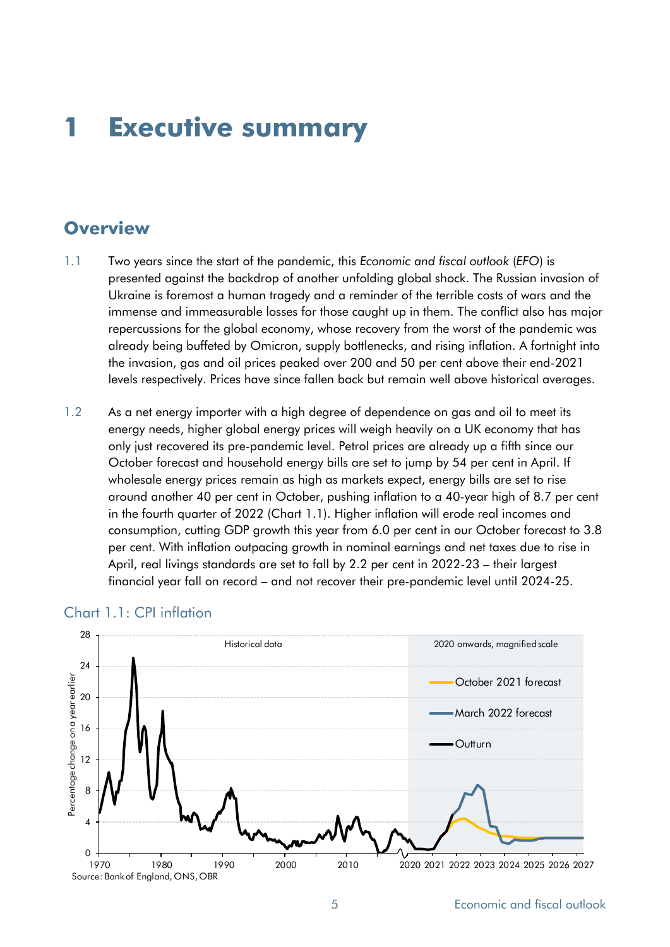# **1 Executive summary**

# **Overview**

- 1.1 Two years since the start of the pandemic, this *Economic and fiscal outlook* (*EFO*) is presented against the backdrop of another unfolding global shock. The Russian invasion of Ukraine is foremost a human tragedy and a reminder of the terrible costs of wars and the immense and immeasurable losses for those caught up in them. The conflict also has major repercussions for the global economy, whose recovery from the worst of the pandemic was already being buffeted by Omicron, supply bottlenecks, and rising inflation. A fortnight into the invasion, gas and oil prices peaked over 200 and 50 per cent above their end-2021 levels respectively. Prices have since fallen back but remain well above historical averages.
- 1.2 As a net energy importer with a high degree of dependence on gas and oil to meet its energy needs, higher global energy prices will weigh heavily on a UK economy that has only just recovered its pre-pandemic level. Petrol prices are already up a fifth since our October forecast and household energy bills are set to jump by 54 per cent in April. If wholesale energy prices remain as high as markets expect, energy bills are set to rise around another 40 per cent in October, pushing inflation to a 40-year high of 8.7 per cent in the fourth quarter of 2022 (Chart 1.1). Higher inflation will erode real incomes and consumption, cutting GDP growth this year from 6.0 per cent in our October forecast to 3.8 per cent. With inflation outpacing growth in nominal earnings and net taxes due to rise in April, real livings standards are set to fall by 2.2 per cent in 2022-23 – their largest financial year fall on record – and not recover their pre-pandemic level until 2024-25.



#### Chart 1.1: CPI inflation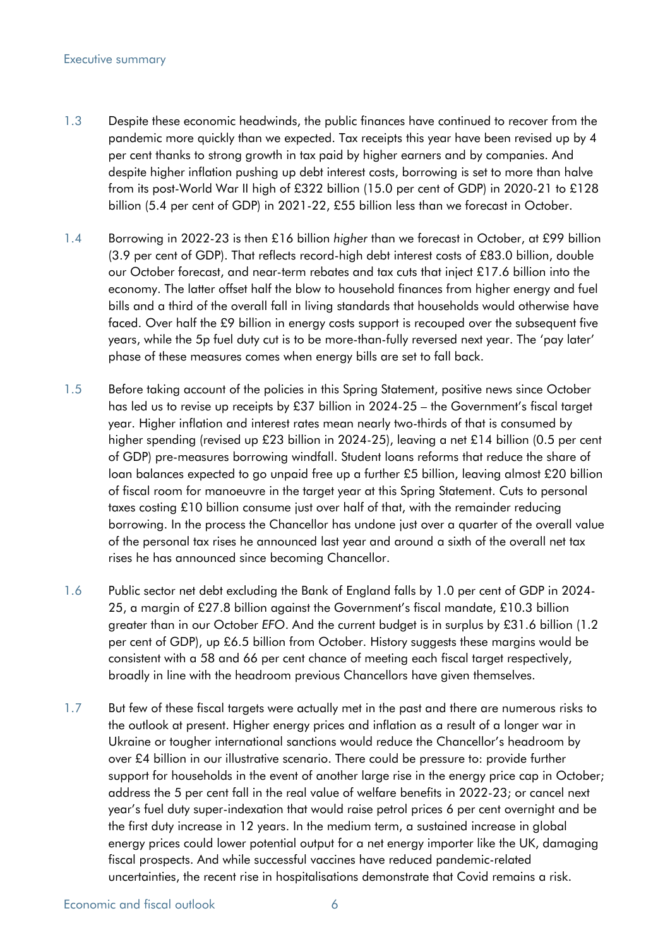#### Executive summary

- 1.3 Despite these economic headwinds, the public finances have continued to recover from the pandemic more quickly than we expected. Tax receipts this year have been revised up by 4 per cent thanks to strong growth in tax paid by higher earners and by companies. And despite higher inflation pushing up debt interest costs, borrowing is set to more than halve from its post-World War II high of £322 billion (15.0 per cent of GDP) in 2020-21 to £128 billion (5.4 per cent of GDP) in 2021-22, £55 billion less than we forecast in October.
- 1.4 Borrowing in 2022-23 is then £16 billion *higher* than we forecast in October, at £99 billion (3.9 per cent of GDP). That reflects record-high debt interest costs of £83.0 billion, double our October forecast, and near-term rebates and tax cuts that inject £17.6 billion into the economy. The latter offset half the blow to household finances from higher energy and fuel bills and a third of the overall fall in living standards that households would otherwise have faced. Over half the £9 billion in energy costs support is recouped over the subsequent five years, while the 5p fuel duty cut is to be more-than-fully reversed next year. The 'pay later' phase of these measures comes when energy bills are set to fall back.
- 1.5 Before taking account of the policies in this Spring Statement, positive news since October has led us to revise up receipts by £37 billion in 2024-25 – the Government's fiscal target year. Higher inflation and interest rates mean nearly two-thirds of that is consumed by higher spending (revised up £23 billion in 2024-25), leaving a net £14 billion (0.5 per cent of GDP) pre-measures borrowing windfall. Student loans reforms that reduce the share of loan balances expected to go unpaid free up a further £5 billion, leaving almost £20 billion of fiscal room for manoeuvre in the target year at this Spring Statement. Cuts to personal taxes costing £10 billion consume just over half of that, with the remainder reducing borrowing. In the process the Chancellor has undone just over a quarter of the overall value of the personal tax rises he announced last year and around a sixth of the overall net tax rises he has announced since becoming Chancellor.
- 1.6 Public sector net debt excluding the Bank of England falls by 1.0 per cent of GDP in 2024- 25, a margin of £27.8 billion against the Government's fiscal mandate, £10.3 billion greater than in our October *EFO*. And the current budget is in surplus by £31.6 billion (1.2 per cent of GDP), up £6.5 billion from October. History suggests these margins would be consistent with a 58 and 66 per cent chance of meeting each fiscal target respectively, broadly in line with the headroom previous Chancellors have given themselves.
- 1.7 But few of these fiscal targets were actually met in the past and there are numerous risks to the outlook at present. Higher energy prices and inflation as a result of a longer war in Ukraine or tougher international sanctions would reduce the Chancellor's headroom by over £4 billion in our illustrative scenario. There could be pressure to: provide further support for households in the event of another large rise in the energy price cap in October; address the 5 per cent fall in the real value of welfare benefits in 2022-23; or cancel next year's fuel duty super-indexation that would raise petrol prices 6 per cent overnight and be the first duty increase in 12 years. In the medium term, a sustained increase in global energy prices could lower potential output for a net energy importer like the UK, damaging fiscal prospects. And while successful vaccines have reduced pandemic-related uncertainties, the recent rise in hospitalisations demonstrate that Covid remains a risk.

Economic and fiscal outlook 6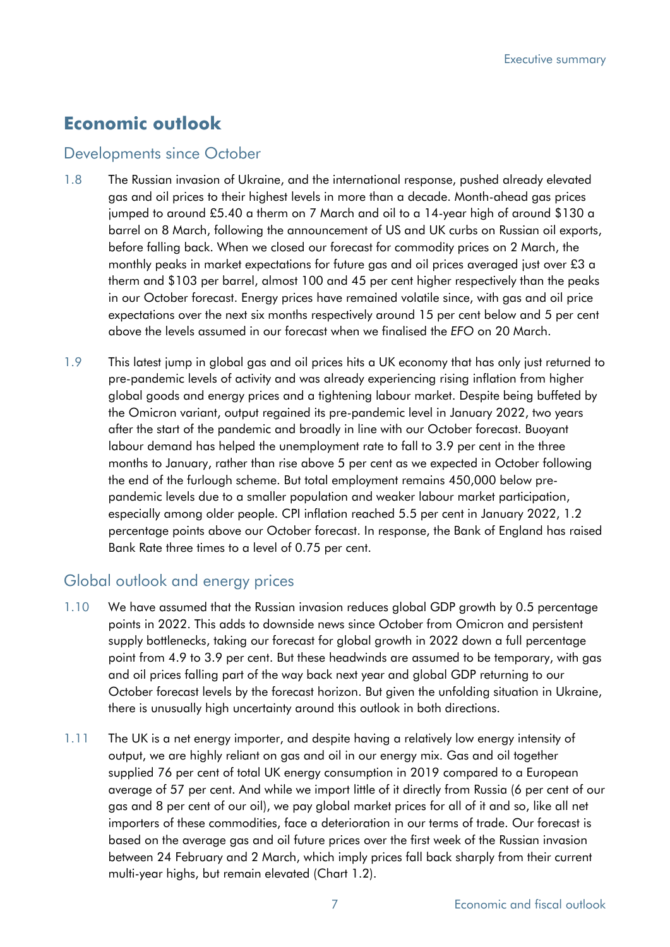# **Economic outlook**

#### Developments since October

- 1.8 The Russian invasion of Ukraine, and the international response, pushed already elevated gas and oil prices to their highest levels in more than a decade. Month-ahead gas prices jumped to around £5.40 a therm on 7 March and oil to a 14-year high of around \$130 a barrel on 8 March, following the announcement of US and UK curbs on Russian oil exports, before falling back. When we closed our forecast for commodity prices on 2 March, the monthly peaks in market expectations for future gas and oil prices averaged just over £3 a therm and \$103 per barrel, almost 100 and 45 per cent higher respectively than the peaks in our October forecast. Energy prices have remained volatile since, with gas and oil price expectations over the next six months respectively around 15 per cent below and 5 per cent above the levels assumed in our forecast when we finalised the *EFO* on 20 March.
- 1.9 This latest jump in global gas and oil prices hits a UK economy that has only just returned to pre-pandemic levels of activity and was already experiencing rising inflation from higher global goods and energy prices and a tightening labour market. Despite being buffeted by the Omicron variant, output regained its pre-pandemic level in January 2022, two years after the start of the pandemic and broadly in line with our October forecast. Buoyant labour demand has helped the unemployment rate to fall to 3.9 per cent in the three months to January, rather than rise above 5 per cent as we expected in October following the end of the furlough scheme. But total employment remains 450,000 below prepandemic levels due to a smaller population and weaker labour market participation, especially among older people. CPI inflation reached 5.5 per cent in January 2022, 1.2 percentage points above our October forecast. In response, the Bank of England has raised Bank Rate three times to a level of 0.75 per cent.

# Global outlook and energy prices

- 1.10 We have assumed that the Russian invasion reduces global GDP growth by 0.5 percentage points in 2022. This adds to downside news since October from Omicron and persistent supply bottlenecks, taking our forecast for global growth in 2022 down a full percentage point from 4.9 to 3.9 per cent. But these headwinds are assumed to be temporary, with gas and oil prices falling part of the way back next year and global GDP returning to our October forecast levels by the forecast horizon. But given the unfolding situation in Ukraine, there is unusually high uncertainty around this outlook in both directions.
- 1.11 The UK is a net energy importer, and despite having a relatively low energy intensity of output, we are highly reliant on gas and oil in our energy mix. Gas and oil together supplied 76 per cent of total UK energy consumption in 2019 compared to a European average of 57 per cent. And while we import little of it directly from Russia (6 per cent of our gas and 8 per cent of our oil), we pay global market prices for all of it and so, like all net importers of these commodities, face a deterioration in our terms of trade. Our forecast is based on the average gas and oil future prices over the first week of the Russian invasion between 24 February and 2 March, which imply prices fall back sharply from their current multi-year highs, but remain elevated (Chart 1.2).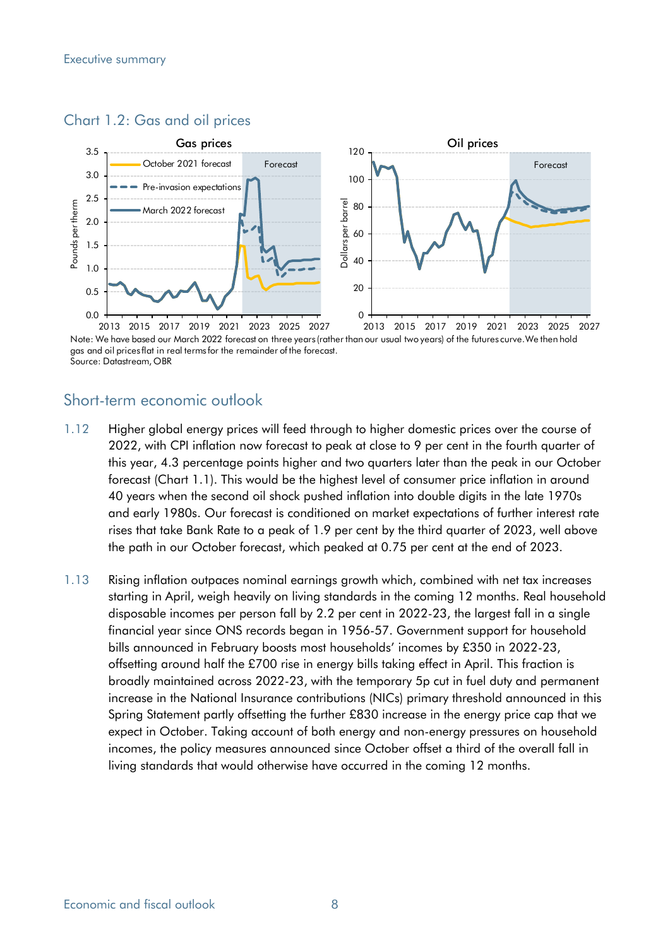### Chart 1.2: Gas and oil prices



Note: We have based our March 2022 forecast on three years (rather than our usual two years) of the futures curve.We then hold gas and oil prices flat in real terms for the remainder of the forecast. Source: Datastream, OBR

# Short-term economic outlook

- 1.12 Higher global energy prices will feed through to higher domestic prices over the course of 2022, with CPI inflation now forecast to peak at close to 9 per cent in the fourth quarter of this year, 4.3 percentage points higher and two quarters later than the peak in our October forecast (Chart 1.1). This would be the highest level of consumer price inflation in around 40 years when the second oil shock pushed inflation into double digits in the late 1970s and early 1980s. Our forecast is conditioned on market expectations of further interest rate rises that take Bank Rate to a peak of 1.9 per cent by the third quarter of 2023, well above the path in our October forecast, which peaked at 0.75 per cent at the end of 2023.
- 1.13 Rising inflation outpaces nominal earnings growth which, combined with net tax increases starting in April, weigh heavily on living standards in the coming 12 months. Real household disposable incomes per person fall by 2.2 per cent in 2022-23, the largest fall in a single financial year since ONS records began in 1956-57. Government support for household bills announced in February boosts most households' incomes by £350 in 2022-23, offsetting around half the £700 rise in energy bills taking effect in April. This fraction is broadly maintained across 2022-23, with the temporary 5p cut in fuel duty and permanent increase in the National Insurance contributions (NICs) primary threshold announced in this Spring Statement partly offsetting the further £830 increase in the energy price cap that we expect in October. Taking account of both energy and non-energy pressures on household incomes, the policy measures announced since October offset a third of the overall fall in living standards that would otherwise have occurred in the coming 12 months.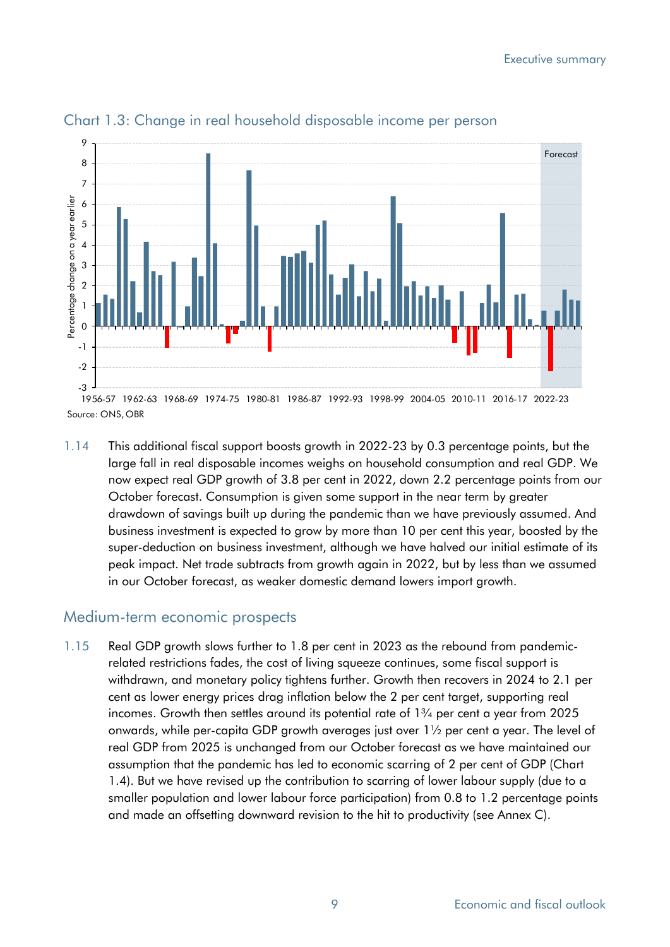

#### Chart 1.3: Change in real household disposable income per person

1.14 This additional fiscal support boosts growth in 2022-23 by 0.3 percentage points, but the large fall in real disposable incomes weighs on household consumption and real GDP. We now expect real GDP growth of 3.8 per cent in 2022, down 2.2 percentage points from our October forecast. Consumption is given some support in the near term by greater drawdown of savings built up during the pandemic than we have previously assumed. And business investment is expected to grow by more than 10 per cent this year, boosted by the super-deduction on business investment, although we have halved our initial estimate of its peak impact. Net trade subtracts from growth again in 2022, but by less than we assumed in our October forecast, as weaker domestic demand lowers import growth.

### Medium-term economic prospects

1.15 Real GDP growth slows further to 1.8 per cent in 2023 as the rebound from pandemicrelated restrictions fades, the cost of living squeeze continues, some fiscal support is withdrawn, and monetary policy tightens further. Growth then recovers in 2024 to 2.1 per cent as lower energy prices drag inflation below the 2 per cent target, supporting real incomes. Growth then settles around its potential rate of 1¾ per cent a year from 2025 onwards, while per-capita GDP growth averages just over  $1\frac{1}{2}$  per cent a year. The level of real GDP from 2025 is unchanged from our October forecast as we have maintained our assumption that the pandemic has led to economic scarring of 2 per cent of GDP (Chart 1.4). But we have revised up the contribution to scarring of lower labour supply (due to a smaller population and lower labour force participation) from 0.8 to 1.2 percentage points and made an offsetting downward revision to the hit to productivity (see Annex C).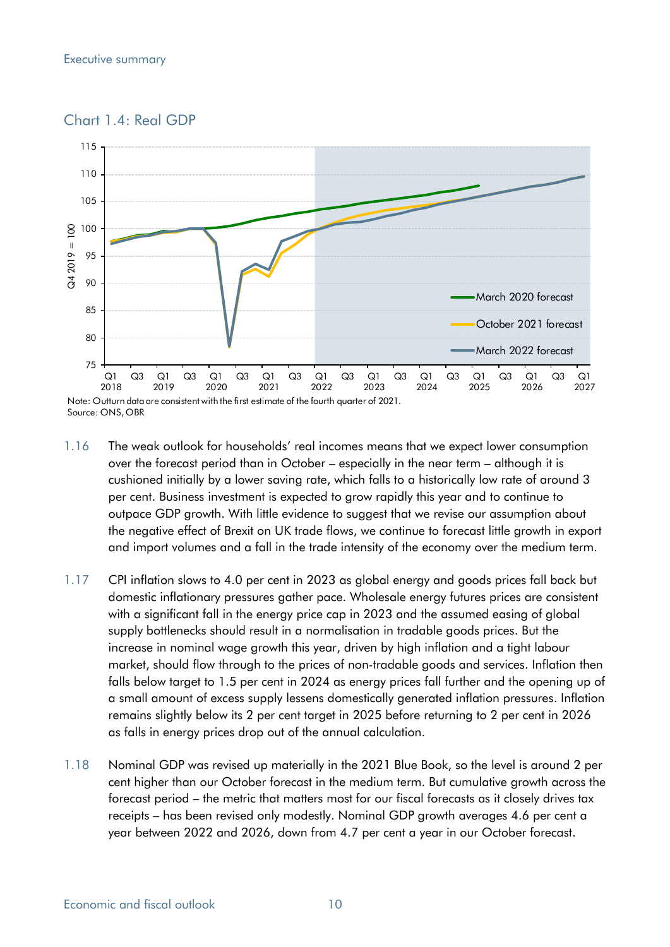



Source: ONS, OBR

- 1.16 The weak outlook for households' real incomes means that we expect lower consumption over the forecast period than in October – especially in the near term – although it is cushioned initially by a lower saving rate, which falls to a historically low rate of around 3 per cent. Business investment is expected to grow rapidly this year and to continue to outpace GDP growth. With little evidence to suggest that we revise our assumption about the negative effect of Brexit on UK trade flows, we continue to forecast little growth in export and import volumes and a fall in the trade intensity of the economy over the medium term.
- 1.17 CPI inflation slows to 4.0 per cent in 2023 as global energy and goods prices fall back but domestic inflationary pressures gather pace. Wholesale energy futures prices are consistent with a significant fall in the energy price cap in 2023 and the assumed easing of global supply bottlenecks should result in a normalisation in tradable goods prices. But the increase in nominal wage growth this year, driven by high inflation and a tight labour market, should flow through to the prices of non-tradable goods and services. Inflation then falls below target to 1.5 per cent in 2024 as energy prices fall further and the opening up of a small amount of excess supply lessens domestically generated inflation pressures. Inflation remains slightly below its 2 per cent target in 2025 before returning to 2 per cent in 2026 as falls in energy prices drop out of the annual calculation.
- 1.18 Nominal GDP was revised up materially in the 2021 Blue Book, so the level is around 2 per cent higher than our October forecast in the medium term. But cumulative growth across the forecast period – the metric that matters most for our fiscal forecasts as it closely drives tax receipts – has been revised only modestly. Nominal GDP growth averages 4.6 per cent a year between 2022 and 2026, down from 4.7 per cent a year in our October forecast.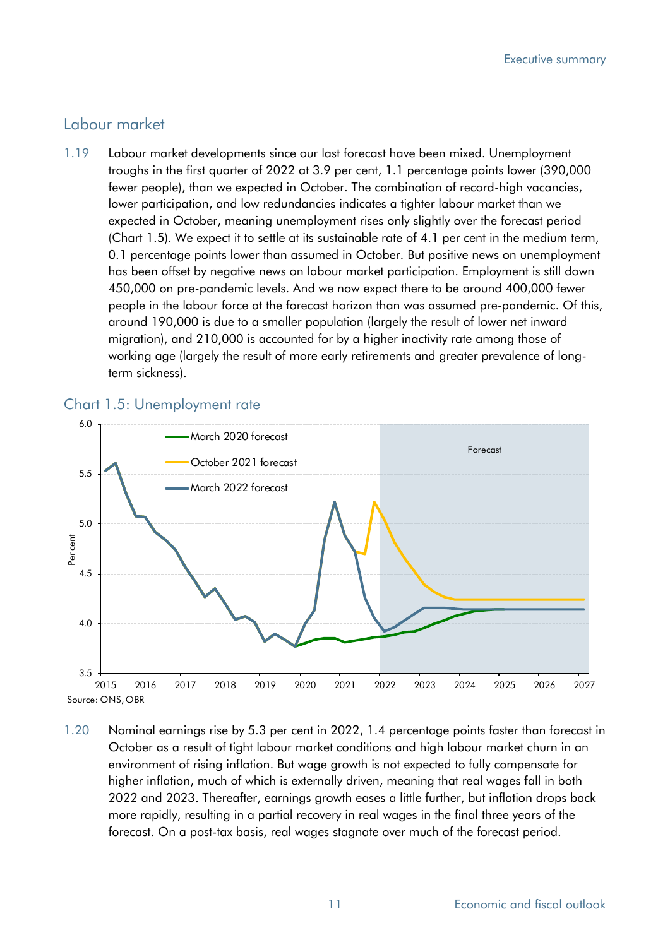#### Labour market

1.19 Labour market developments since our last forecast have been mixed. Unemployment troughs in the first quarter of 2022 at 3.9 per cent, 1.1 percentage points lower (390,000 fewer people), than we expected in October. The combination of record-high vacancies, lower participation, and low redundancies indicates a tighter labour market than we expected in October, meaning unemployment rises only slightly over the forecast period (Chart 1.5). We expect it to settle at its sustainable rate of 4.1 per cent in the medium term, 0.1 percentage points lower than assumed in October. But positive news on unemployment has been offset by negative news on labour market participation. Employment is still down 450,000 on pre-pandemic levels. And we now expect there to be around 400,000 fewer people in the labour force at the forecast horizon than was assumed pre-pandemic. Of this, around 190,000 is due to a smaller population (largely the result of lower net inward migration), and 210,000 is accounted for by a higher inactivity rate among those of working age (largely the result of more early retirements and greater prevalence of longterm sickness).



#### Chart 1.5: Unemployment rate

1.20 Nominal earnings rise by 5.3 per cent in 2022, 1.4 percentage points faster than forecast in October as a result of tight labour market conditions and high labour market churn in an environment of rising inflation. But wage growth is not expected to fully compensate for higher inflation, much of which is externally driven, meaning that real wages fall in both 2022 and 2023. Thereafter, earnings growth eases a little further, but inflation drops back more rapidly, resulting in a partial recovery in real wages in the final three years of the forecast. On a post-tax basis, real wages stagnate over much of the forecast period.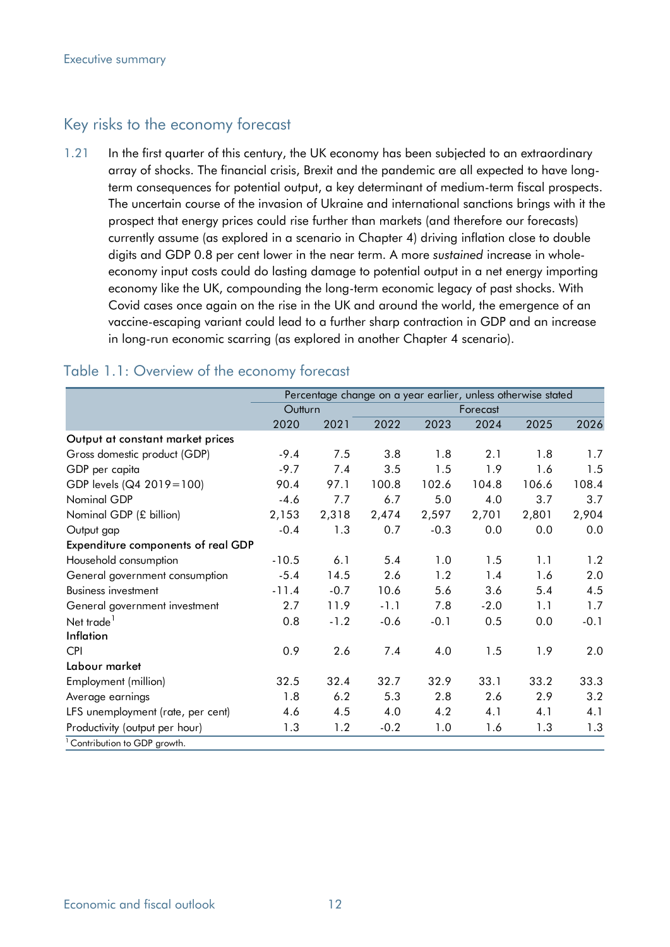# Key risks to the economy forecast

1.21 In the first quarter of this century, the UK economy has been subjected to an extraordinary array of shocks. The financial crisis, Brexit and the pandemic are all expected to have longterm consequences for potential output, a key determinant of medium-term fiscal prospects. The uncertain course of the invasion of Ukraine and international sanctions brings with it the prospect that energy prices could rise further than markets (and therefore our forecasts) currently assume (as explored in a scenario in Chapter 4) driving inflation close to double digits and GDP 0.8 per cent lower in the near term. A more *sustained* increase in wholeeconomy input costs could do lasting damage to potential output in a net energy importing economy like the UK, compounding the long-term economic legacy of past shocks. With Covid cases once again on the rise in the UK and around the world, the emergence of an vaccine-escaping variant could lead to a further sharp contraction in GDP and an increase in long-run economic scarring (as explored in another Chapter 4 scenario).

|                                    | Percentage change on a year earlier, unless otherwise stated |        |          |        |        |       |        |
|------------------------------------|--------------------------------------------------------------|--------|----------|--------|--------|-------|--------|
|                                    | Outturn                                                      |        | Forecast |        |        |       |        |
|                                    | 2020                                                         | 2021   | 2022     | 2023   | 2024   | 2025  | 2026   |
| Output at constant market prices   |                                                              |        |          |        |        |       |        |
| Gross domestic product (GDP)       | $-9.4$                                                       | 7.5    | 3.8      | 1.8    | 2.1    | 1.8   | 1.7    |
| GDP per capita                     | $-9.7$                                                       | 7.4    | 3.5      | 1.5    | 1.9    | 1.6   | 1.5    |
| GDP levels (Q4 2019=100)           | 90.4                                                         | 97.1   | 100.8    | 102.6  | 104.8  | 106.6 | 108.4  |
| Nominal GDP                        | $-4.6$                                                       | 7.7    | 6.7      | 5.0    | 4.0    | 3.7   | 3.7    |
| Nominal GDP (£ billion)            | 2,153                                                        | 2,318  | 2,474    | 2,597  | 2,701  | 2,801 | 2,904  |
| Output gap                         | $-0.4$                                                       | 1.3    | 0.7      | $-0.3$ | 0.0    | 0.0   | 0.0    |
| Expenditure components of real GDP |                                                              |        |          |        |        |       |        |
| Household consumption              | $-10.5$                                                      | 6.1    | 5.4      | 1.0    | 1.5    | 1.1   | 1.2    |
| General government consumption     | $-5.4$                                                       | 14.5   | 2.6      | 1.2    | 1.4    | 1.6   | 2.0    |
| <b>Business investment</b>         | $-11.4$                                                      | $-0.7$ | 10.6     | 5.6    | 3.6    | 5.4   | 4.5    |
| General government investment      | 2.7                                                          | 11.9   | $-1.1$   | 7.8    | $-2.0$ | 1.1   | 1.7    |
| Net trade <sup>1</sup>             | 0.8                                                          | $-1.2$ | $-0.6$   | $-0.1$ | 0.5    | 0.0   | $-0.1$ |
| Inflation                          |                                                              |        |          |        |        |       |        |
| <b>CPI</b>                         | 0.9                                                          | 2.6    | 7.4      | 4.0    | 1.5    | 1.9   | 2.0    |
| Labour market                      |                                                              |        |          |        |        |       |        |
| Employment (million)               | 32.5                                                         | 32.4   | 32.7     | 32.9   | 33.1   | 33.2  | 33.3   |
| Average earnings                   | 1.8                                                          | 6.2    | 5.3      | 2.8    | 2.6    | 2.9   | 3.2    |
| LFS unemployment (rate, per cent)  | 4.6                                                          | 4.5    | 4.0      | 4.2    | 4.1    | 4.1   | 4.1    |
| Productivity (output per hour)     | 1.3                                                          | 1.2    | $-0.2$   | 1.0    | 1.6    | 1.3   | 1.3    |
| Contribution to GDP growth.        |                                                              |        |          |        |        |       |        |

#### Table 1.1: Overview of the economy forecast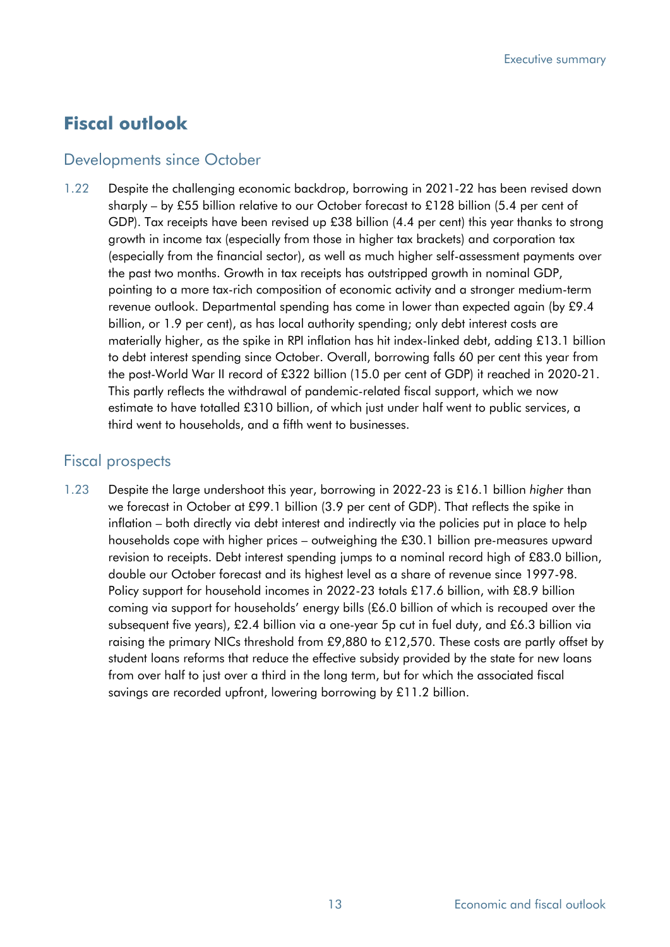# **Fiscal outlook**

# Developments since October

1.22 Despite the challenging economic backdrop, borrowing in 2021-22 has been revised down sharply – by £55 billion relative to our October forecast to £128 billion (5.4 per cent of GDP). Tax receipts have been revised up £38 billion (4.4 per cent) this year thanks to strong growth in income tax (especially from those in higher tax brackets) and corporation tax (especially from the financial sector), as well as much higher self-assessment payments over the past two months. Growth in tax receipts has outstripped growth in nominal GDP, pointing to a more tax-rich composition of economic activity and a stronger medium-term revenue outlook. Departmental spending has come in lower than expected again (by £9.4 billion, or 1.9 per cent), as has local authority spending; only debt interest costs are materially higher, as the spike in RPI inflation has hit index-linked debt, adding £13.1 billion to debt interest spending since October. Overall, borrowing falls 60 per cent this year from the post-World War II record of £322 billion (15.0 per cent of GDP) it reached in 2020-21. This partly reflects the withdrawal of pandemic-related fiscal support, which we now estimate to have totalled £310 billion, of which just under half went to public services, a third went to households, and a fifth went to businesses.

# Fiscal prospects

1.23 Despite the large undershoot this year, borrowing in 2022-23 is £16.1 billion *higher* than we forecast in October at £99.1 billion (3.9 per cent of GDP). That reflects the spike in inflation – both directly via debt interest and indirectly via the policies put in place to help households cope with higher prices – outweighing the £30.1 billion pre-measures upward revision to receipts. Debt interest spending jumps to a nominal record high of £83.0 billion, double our October forecast and its highest level as a share of revenue since 1997-98. Policy support for household incomes in 2022-23 totals £17.6 billion, with £8.9 billion coming via support for households' energy bills (£6.0 billion of which is recouped over the subsequent five years), £2.4 billion via a one-year 5p cut in fuel duty, and £6.3 billion via raising the primary NICs threshold from £9,880 to £12,570. These costs are partly offset by student loans reforms that reduce the effective subsidy provided by the state for new loans from over half to just over a third in the long term, but for which the associated fiscal savings are recorded upfront, lowering borrowing by £11.2 billion.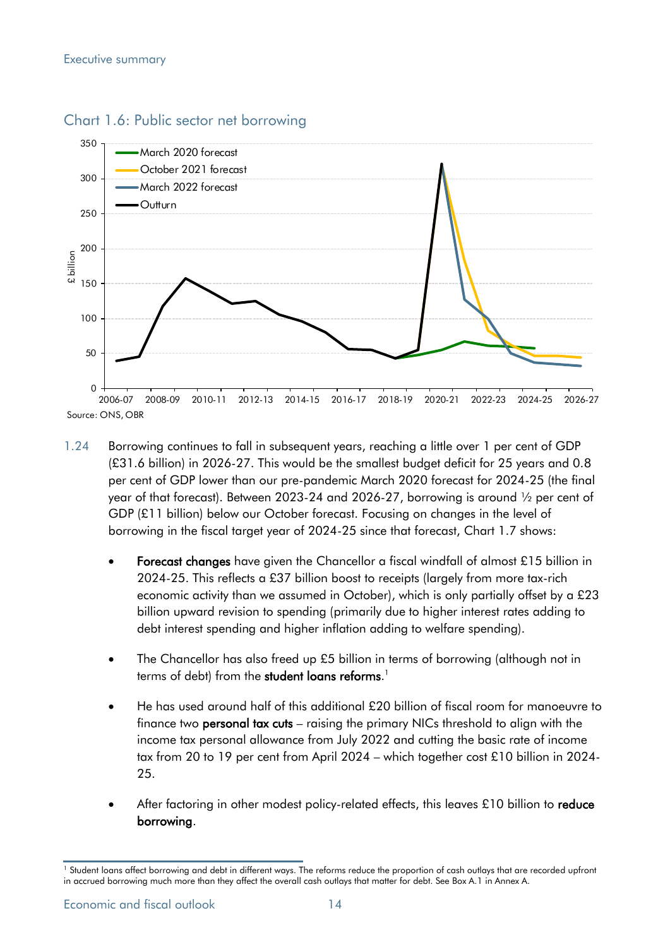

#### Chart 1.6: Public sector net borrowing

- 1.24 Borrowing continues to fall in subsequent years, reaching a little over 1 per cent of GDP (£31.6 billion) in 2026-27. This would be the smallest budget deficit for 25 years and 0.8 per cent of GDP lower than our pre-pandemic March 2020 forecast for 2024-25 (the final year of that forecast). Between 2023-24 and 2026-27, borrowing is around ½ per cent of GDP (£11 billion) below our October forecast. Focusing on changes in the level of borrowing in the fiscal target year of 2024-25 since that forecast, Chart 1.7 shows:
	- Forecast changes have given the Chancellor a fiscal windfall of almost £15 billion in 2024-25. This reflects a £37 billion boost to receipts (largely from more tax-rich economic activity than we assumed in October), which is only partially offset by a £23 billion upward revision to spending (primarily due to higher interest rates adding to debt interest spending and higher inflation adding to welfare spending).
	- The Chancellor has also freed up £5 billion in terms of borrowing (although not in terms of debt) from the **student loans reforms**.<sup>1</sup>
	- He has used around half of this additional £20 billion of fiscal room for manoeuvre to finance two personal tax cuts – raising the primary NICs threshold to align with the income tax personal allowance from July 2022 and cutting the basic rate of income tax from 20 to 19 per cent from April 2024 – which together cost £10 billion in 2024- 25.
	- After factoring in other modest policy-related effects, this leaves £10 billion to reduce borrowing.

<sup>&</sup>lt;sup>1</sup> Student loans affect borrowing and debt in different ways. The reforms reduce the proportion of cash outlays that are recorded upfront in accrued borrowing much more than they affect the overall cash outlays that matter for debt. See Box A.1 in Annex A.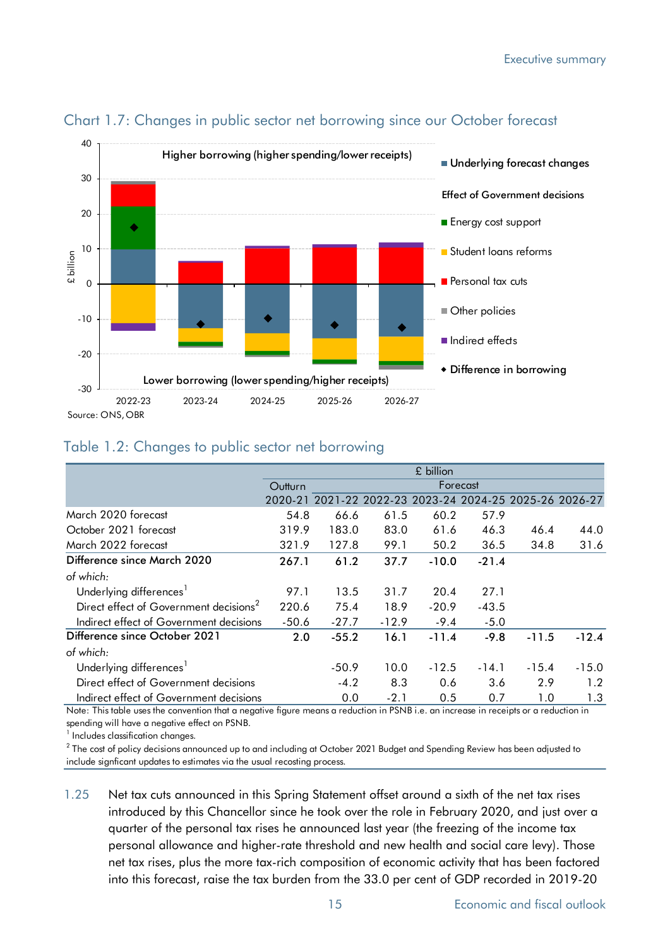

# Chart 1.7: Changes in public sector net borrowing since our October forecast

### Table 1.2: Changes to public sector net borrowing

|                                                    | £ billion           |         |         |         |                                                         |         |         |
|----------------------------------------------------|---------------------|---------|---------|---------|---------------------------------------------------------|---------|---------|
|                                                    | Forecast<br>Outturn |         |         |         |                                                         |         |         |
|                                                    |                     |         |         |         | 2020-21 2021-22 2022-23 2023-24 2024-25 2025-26 2026-27 |         |         |
| March 2020 forecast                                | 54.8                | 66.6    | 61.5    | 60.2    | 57.9                                                    |         |         |
| October 2021 forecast                              | 319.9               | 183.0   | 83.0    | 61.6    | 46.3                                                    | 46.4    | 44.0    |
| March 2022 forecast                                | 321.9               | 127.8   | 99.1    | 50.2    | 36.5                                                    | 34.8    | 31.6    |
| Difference since March 2020                        | 267.1               | 61.2    | 37.7    | $-10.0$ | $-21.4$                                                 |         |         |
| of which:                                          |                     |         |         |         |                                                         |         |         |
| Underlying differences <sup>1</sup>                | 97.1                | 13.5    | 31.7    | 20.4    | 27.1                                                    |         |         |
| Direct effect of Government decisions <sup>2</sup> | 220.6               | 75.4    | 18.9    | $-20.9$ | $-43.5$                                                 |         |         |
| Indirect effect of Government decisions            | $-50.6$             | $-27.7$ | $-12.9$ | $-9.4$  | $-5.0$                                                  |         |         |
| Difference since October 2021                      | 2.0                 | $-55.2$ | 16.1    | $-11.4$ | $-9.8$                                                  | $-11.5$ | $-12.4$ |
| of which:                                          |                     |         |         |         |                                                         |         |         |
| Underlying differences                             |                     | $-50.9$ | 10.0    | $-12.5$ | $-14.1$                                                 | $-15.4$ | $-15.0$ |
| Direct effect of Government decisions              |                     | $-4.2$  | 8.3     | 0.6     | 3.6                                                     | 2.9     | 1.2     |
| Indirect effect of Government decisions            |                     | 0.0     | $-2.1$  | 0.5     | 0.7                                                     | 1.0     | 1.3     |

Note: This table uses the convention that a negative figure means a reduction in PSNB i.e. an increase in receipts or a reduction in spending will have a negative effect on PSNB.

<sup>1</sup> Includes classification changes.

 $^2$  The cost of policy decisions announced up to and including at October 2021 Budget and Spending Review has been adjusted to include signficant updates to estimates via the usual recosting process.

1.25 Net tax cuts announced in this Spring Statement offset around a sixth of the net tax rises introduced by this Chancellor since he took over the role in February 2020, and just over a quarter of the personal tax rises he announced last year (the freezing of the income tax personal allowance and higher-rate threshold and new health and social care levy). Those net tax rises, plus the more tax-rich composition of economic activity that has been factored into this forecast, raise the tax burden from the 33.0 per cent of GDP recorded in 2019-20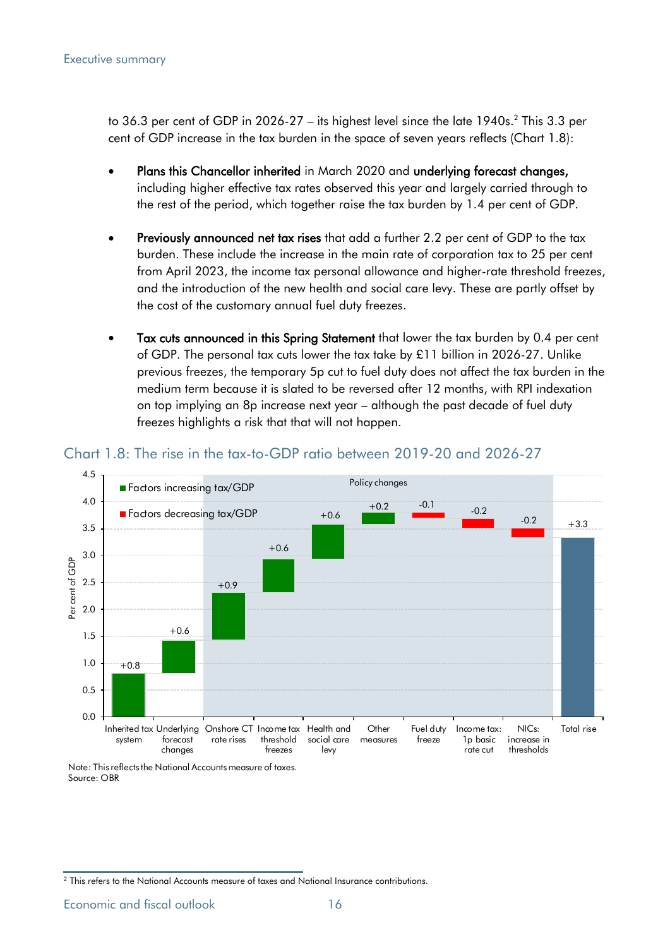to 36.3 per cent of GDP in 2026-27 – its highest level since the late 1940s. 2 This 3.3 per cent of GDP increase in the tax burden in the space of seven years reflects (Chart 1.8):

- Plans this Chancellor inherited in March 2020 and underlying forecast changes, including higher effective tax rates observed this year and largely carried through to the rest of the period, which together raise the tax burden by 1.4 per cent of GDP.
- Previously announced net tax rises that add a further 2.2 per cent of GDP to the tax burden. These include the increase in the main rate of corporation tax to 25 per cent from April 2023, the income tax personal allowance and higher-rate threshold freezes, and the introduction of the new health and social care levy. These are partly offset by the cost of the customary annual fuel duty freezes.
- Tax cuts announced in this Spring Statement that lower the tax burden by 0.4 per cent of GDP. The personal tax cuts lower the tax take by £11 billion in 2026-27. Unlike previous freezes, the temporary 5p cut to fuel duty does not affect the tax burden in the medium term because it is slated to be reversed after 12 months, with RPI indexation on top implying an 8p increase next year – although the past decade of fuel duty freezes highlights a risk that that will not happen.



#### Chart 1.8: The rise in the tax-to-GDP ratio between 2019-20 and 2026-27

Note: This reflects the National Accounts measure of taxes. Source: OBR

Economic and fiscal outlook 16

<sup>&</sup>lt;sup>2</sup> This refers to the National Accounts measure of taxes and National Insurance contributions.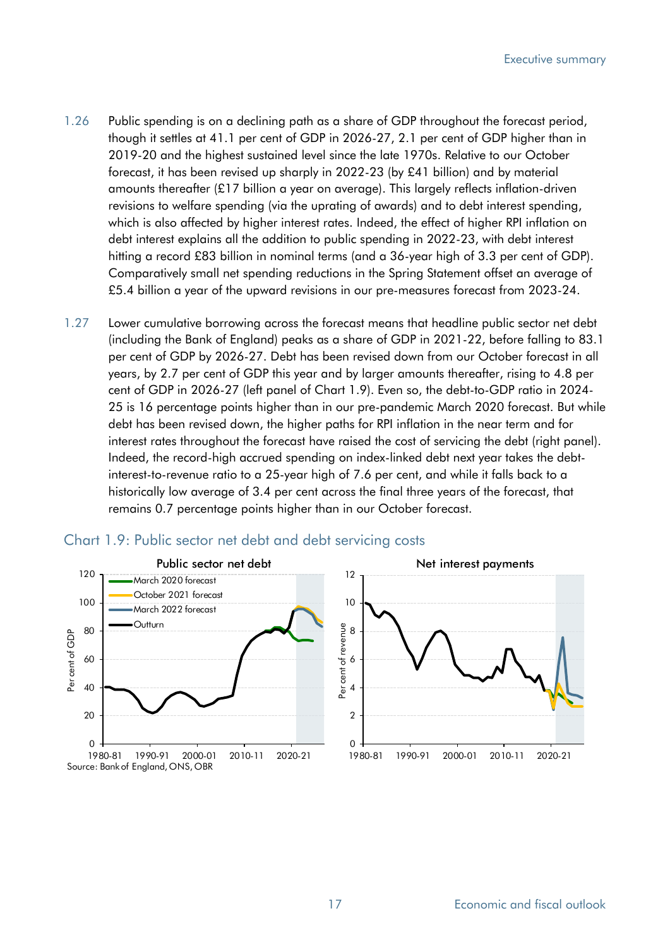- 1.26 Public spending is on a declining path as a share of GDP throughout the forecast period, though it settles at 41.1 per cent of GDP in 2026-27, 2.1 per cent of GDP higher than in 2019-20 and the highest sustained level since the late 1970s. Relative to our October forecast, it has been revised up sharply in 2022-23 (by £41 billion) and by material amounts thereafter (£17 billion a year on average). This largely reflects inflation-driven revisions to welfare spending (via the uprating of awards) and to debt interest spending, which is also affected by higher interest rates. Indeed, the effect of higher RPI inflation on debt interest explains all the addition to public spending in 2022-23, with debt interest hitting a record £83 billion in nominal terms (and a 36-year high of 3.3 per cent of GDP). Comparatively small net spending reductions in the Spring Statement offset an average of £5.4 billion a year of the upward revisions in our pre-measures forecast from 2023-24.
- 1.27 Lower cumulative borrowing across the forecast means that headline public sector net debt (including the Bank of England) peaks as a share of GDP in 2021-22, before falling to 83.1 per cent of GDP by 2026-27. Debt has been revised down from our October forecast in all years, by 2.7 per cent of GDP this year and by larger amounts thereafter, rising to 4.8 per cent of GDP in 2026-27 (left panel of Chart 1.9). Even so, the debt-to-GDP ratio in 2024- 25 is 16 percentage points higher than in our pre-pandemic March 2020 forecast. But while debt has been revised down, the higher paths for RPI inflation in the near term and for interest rates throughout the forecast have raised the cost of servicing the debt (right panel). Indeed, the record-high accrued spending on index-linked debt next year takes the debtinterest-to-revenue ratio to a 25-year high of 7.6 per cent, and while it falls back to a historically low average of 3.4 per cent across the final three years of the forecast, that remains 0.7 percentage points higher than in our October forecast.



#### Chart 1.9: Public sector net debt and debt servicing costs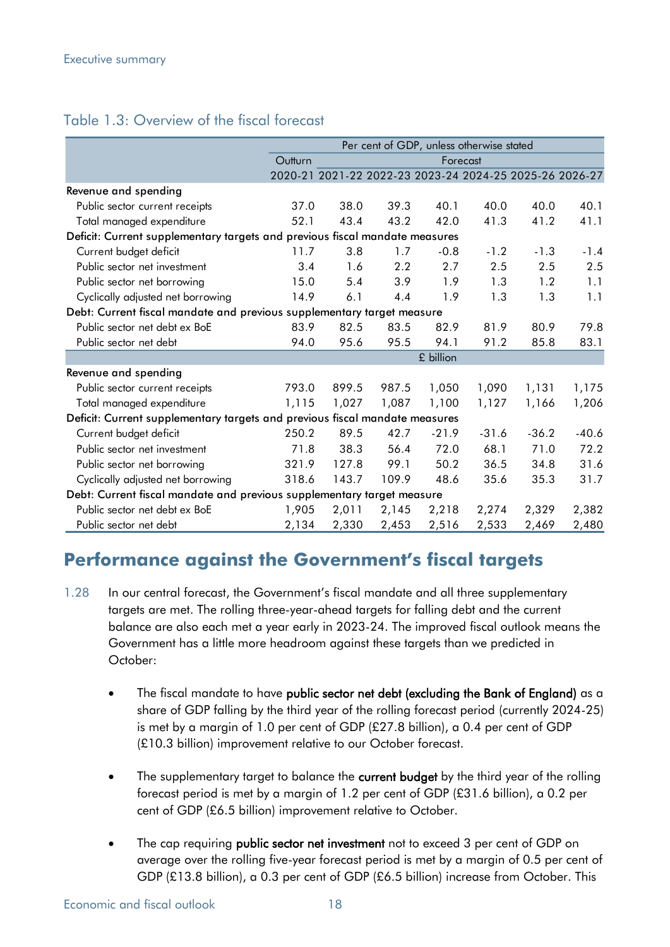# Table 1.3: Overview of the fiscal forecast

|                                                                                                                                                                                                                                                                                                                                                                                                                                                                                                                                                                                                                      |                                                                                                                                                                                                                                                                                                                                                                                                                              | Per cent of GDP, unless otherwise stated |                                                         |       |           |         |         |         |
|----------------------------------------------------------------------------------------------------------------------------------------------------------------------------------------------------------------------------------------------------------------------------------------------------------------------------------------------------------------------------------------------------------------------------------------------------------------------------------------------------------------------------------------------------------------------------------------------------------------------|------------------------------------------------------------------------------------------------------------------------------------------------------------------------------------------------------------------------------------------------------------------------------------------------------------------------------------------------------------------------------------------------------------------------------|------------------------------------------|---------------------------------------------------------|-------|-----------|---------|---------|---------|
|                                                                                                                                                                                                                                                                                                                                                                                                                                                                                                                                                                                                                      |                                                                                                                                                                                                                                                                                                                                                                                                                              | Outturn<br>Forecast                      |                                                         |       |           |         |         |         |
|                                                                                                                                                                                                                                                                                                                                                                                                                                                                                                                                                                                                                      |                                                                                                                                                                                                                                                                                                                                                                                                                              |                                          | 2020-21 2021-22 2022-23 2023-24 2024-25 2025-26 2026-27 |       |           |         |         |         |
| Revenue and spending                                                                                                                                                                                                                                                                                                                                                                                                                                                                                                                                                                                                 |                                                                                                                                                                                                                                                                                                                                                                                                                              |                                          |                                                         |       |           |         |         |         |
| Public sector current receipts                                                                                                                                                                                                                                                                                                                                                                                                                                                                                                                                                                                       |                                                                                                                                                                                                                                                                                                                                                                                                                              | 37.0                                     | 38.0                                                    | 39.3  | 40.1      | 40.0    | 40.0    | 40.1    |
| Total managed expenditure                                                                                                                                                                                                                                                                                                                                                                                                                                                                                                                                                                                            |                                                                                                                                                                                                                                                                                                                                                                                                                              | 52.1                                     | 43.4                                                    | 43.2  | 42.0      | 41.3    | 41.2    | 41.1    |
|                                                                                                                                                                                                                                                                                                                                                                                                                                                                                                                                                                                                                      | Deficit: Current supplementary targets and previous fiscal mandate measures                                                                                                                                                                                                                                                                                                                                                  |                                          |                                                         |       |           |         |         |         |
| Current budget deficit                                                                                                                                                                                                                                                                                                                                                                                                                                                                                                                                                                                               |                                                                                                                                                                                                                                                                                                                                                                                                                              | 11.7                                     | 3.8                                                     | 1.7   | $-0.8$    | $-1.2$  | $-1.3$  | $-1.4$  |
| Public sector net investment                                                                                                                                                                                                                                                                                                                                                                                                                                                                                                                                                                                         |                                                                                                                                                                                                                                                                                                                                                                                                                              | 3.4                                      | 1.6                                                     | 2.2   | 2.7       | 2.5     | 2.5     | 2.5     |
| Public sector net borrowing                                                                                                                                                                                                                                                                                                                                                                                                                                                                                                                                                                                          |                                                                                                                                                                                                                                                                                                                                                                                                                              | 15.0                                     | 5.4                                                     | 3.9   | 1.9       | 1.3     | 1.2     | 1.1     |
| Cyclically adjusted net borrowing                                                                                                                                                                                                                                                                                                                                                                                                                                                                                                                                                                                    |                                                                                                                                                                                                                                                                                                                                                                                                                              | 14.9                                     | 6.1                                                     | 4.4   | 1.9       | 1.3     | 1.3     | 1.1     |
|                                                                                                                                                                                                                                                                                                                                                                                                                                                                                                                                                                                                                      | Debt: Current fiscal mandate and previous supplementary target measure                                                                                                                                                                                                                                                                                                                                                       |                                          |                                                         |       |           |         |         |         |
| Public sector net debt ex BoE                                                                                                                                                                                                                                                                                                                                                                                                                                                                                                                                                                                        |                                                                                                                                                                                                                                                                                                                                                                                                                              | 83.9                                     | 82.5                                                    | 83.5  | 82.9      | 81.9    | 80.9    | 79.8    |
| Public sector net debt                                                                                                                                                                                                                                                                                                                                                                                                                                                                                                                                                                                               |                                                                                                                                                                                                                                                                                                                                                                                                                              | 94.0                                     | 95.6                                                    | 95.5  | 94.1      | 91.2    | 85.8    | 83.1    |
|                                                                                                                                                                                                                                                                                                                                                                                                                                                                                                                                                                                                                      |                                                                                                                                                                                                                                                                                                                                                                                                                              |                                          |                                                         |       | £ billion |         |         |         |
| Revenue and spending                                                                                                                                                                                                                                                                                                                                                                                                                                                                                                                                                                                                 |                                                                                                                                                                                                                                                                                                                                                                                                                              |                                          |                                                         |       |           |         |         |         |
| Public sector current receipts                                                                                                                                                                                                                                                                                                                                                                                                                                                                                                                                                                                       |                                                                                                                                                                                                                                                                                                                                                                                                                              | 793.0                                    | 899.5                                                   | 987.5 | 1,050     | 1,090   | 1,131   | 1,175   |
| Total managed expenditure                                                                                                                                                                                                                                                                                                                                                                                                                                                                                                                                                                                            |                                                                                                                                                                                                                                                                                                                                                                                                                              | 1,115                                    | 1,027                                                   | 1,087 | 1,100     | 1,127   | 1,166   | 1,206   |
|                                                                                                                                                                                                                                                                                                                                                                                                                                                                                                                                                                                                                      | Deficit: Current supplementary targets and previous fiscal mandate measures                                                                                                                                                                                                                                                                                                                                                  |                                          |                                                         |       |           |         |         |         |
| Current budget deficit                                                                                                                                                                                                                                                                                                                                                                                                                                                                                                                                                                                               |                                                                                                                                                                                                                                                                                                                                                                                                                              | 250.2                                    | 89.5                                                    | 42.7  | $-21.9$   | $-31.6$ | $-36.2$ | $-40.6$ |
| Public sector net investment                                                                                                                                                                                                                                                                                                                                                                                                                                                                                                                                                                                         |                                                                                                                                                                                                                                                                                                                                                                                                                              | 71.8                                     | 38.3                                                    | 56.4  | 72.0      | 68.1    | 71.0    | 72.2    |
| Public sector net borrowing                                                                                                                                                                                                                                                                                                                                                                                                                                                                                                                                                                                          |                                                                                                                                                                                                                                                                                                                                                                                                                              | 321.9                                    | 127.8                                                   | 99.1  | 50.2      | 36.5    | 34.8    | 31.6    |
| Cyclically adjusted net borrowing                                                                                                                                                                                                                                                                                                                                                                                                                                                                                                                                                                                    |                                                                                                                                                                                                                                                                                                                                                                                                                              | 318.6                                    | 143.7                                                   | 109.9 | 48.6      | 35.6    | 35.3    | 31.7    |
|                                                                                                                                                                                                                                                                                                                                                                                                                                                                                                                                                                                                                      | Debt: Current fiscal mandate and previous supplementary target measure                                                                                                                                                                                                                                                                                                                                                       |                                          |                                                         |       |           |         |         |         |
| Public sector net debt ex BoE                                                                                                                                                                                                                                                                                                                                                                                                                                                                                                                                                                                        |                                                                                                                                                                                                                                                                                                                                                                                                                              | 1,905                                    | 2,011                                                   | 2,145 | 2,218     | 2,274   | 2,329   | 2,382   |
| Public sector net debt                                                                                                                                                                                                                                                                                                                                                                                                                                                                                                                                                                                               |                                                                                                                                                                                                                                                                                                                                                                                                                              | 2,134                                    | 2,330                                                   | 2,453 | 2,516     | 2,533   | 2,469   | 2,480   |
| 1.28<br>October:                                                                                                                                                                                                                                                                                                                                                                                                                                                                                                                                                                                                     | <b>Performance against the Government's fiscal targets</b><br>In our central forecast, the Government's fiscal mandate and all three supplementary<br>targets are met. The rolling three-year-ahead targets for falling debt and the current<br>balance are also each met a year early in 2023-24. The improved fiscal outlook means the<br>Government has a little more headroom against these targets than we predicted in |                                          |                                                         |       |           |         |         |         |
| The fiscal mandate to have public sector net debt (excluding the Bank of England) as a<br>$\bullet$<br>share of GDP falling by the third year of the rolling forecast period (currently 2024-25)<br>is met by a margin of 1.0 per cent of GDP (£27.8 billion), a 0.4 per cent of GDP<br>(£10.3 billion) improvement relative to our October forecast.<br>The supplementary target to balance the current budget by the third year of the rolling<br>$\bullet$<br>forecast period is met by a margin of 1.2 per cent of GDP (£31.6 billion), a 0.2 per<br>cent of GDP (£6.5 billion) improvement relative to October. |                                                                                                                                                                                                                                                                                                                                                                                                                              |                                          |                                                         |       |           |         |         |         |
|                                                                                                                                                                                                                                                                                                                                                                                                                                                                                                                                                                                                                      | The cap requiring <b>public sector net investment</b> not to exceed 3 per cent of GDP on<br>average over the rolling five-year forecast period is met by a margin of 0.5 per cent of<br>GDP (£13.8 billion), a 0.3 per cent of GDP (£6.5 billion) increase from October. This                                                                                                                                                |                                          |                                                         |       |           |         |         |         |

# **Performance against the Government's fiscal targets**

- 1.28 In our central forecast, the Government's fiscal mandate and all three supplementary targets are met. The rolling three-year-ahead targets for falling debt and the current balance are also each met a year early in 2023-24. The improved fiscal outlook means the Government has a little more headroom against these targets than we predicted in October:
	- The fiscal mandate to have public sector net debt (excluding the Bank of England) as a share of GDP falling by the third year of the rolling forecast period (currently 2024-25) is met by a margin of 1.0 per cent of GDP (£27.8 billion), a 0.4 per cent of GDP (£10.3 billion) improvement relative to our October forecast.
	- The supplementary target to balance the current budget by the third year of the rolling forecast period is met by a margin of 1.2 per cent of GDP (£31.6 billion), a 0.2 per cent of GDP (£6.5 billion) improvement relative to October.
	- The cap requiring **public sector net investment** not to exceed 3 per cent of GDP on average over the rolling five-year forecast period is met by a margin of 0.5 per cent of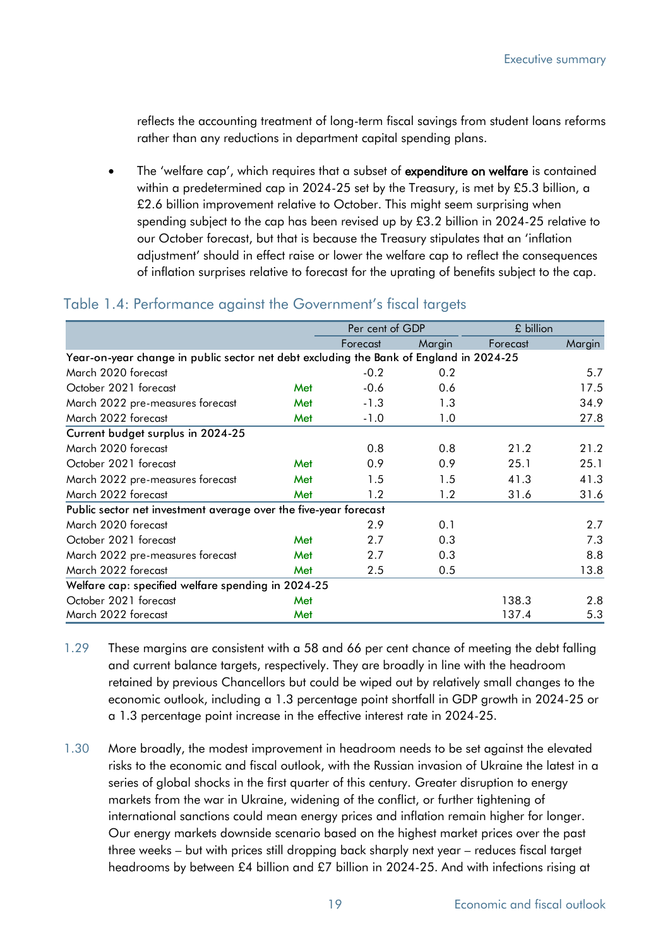reflects the accounting treatment of long-term fiscal savings from student loans reforms rather than any reductions in department capital spending plans.

The 'welfare cap', which requires that a subset of expenditure on welfare is contained within a predetermined cap in 2024-25 set by the Treasury, is met by £5.3 billion, a £2.6 billion improvement relative to October. This might seem surprising when spending subject to the cap has been revised up by £3.2 billion in 2024-25 relative to our October forecast, but that is because the Treasury stipulates that an 'inflation adjustment' should in effect raise or lower the welfare cap to reflect the consequences of inflation surprises relative to forecast for the uprating of benefits subject to the cap.

|                       |                                                                                                                                                                                                                                                                                                                                                                                                                                                                                                                                                                                                                                                                                                                                                              |     | Per cent of GDP |        | £ billion |        |
|-----------------------|--------------------------------------------------------------------------------------------------------------------------------------------------------------------------------------------------------------------------------------------------------------------------------------------------------------------------------------------------------------------------------------------------------------------------------------------------------------------------------------------------------------------------------------------------------------------------------------------------------------------------------------------------------------------------------------------------------------------------------------------------------------|-----|-----------------|--------|-----------|--------|
|                       |                                                                                                                                                                                                                                                                                                                                                                                                                                                                                                                                                                                                                                                                                                                                                              |     | Forecast        | Margin | Forecast  | Margin |
|                       | Year-on-year change in public sector net debt excluding the Bank of England in 2024-25                                                                                                                                                                                                                                                                                                                                                                                                                                                                                                                                                                                                                                                                       |     |                 |        |           |        |
|                       | March 2020 forecast                                                                                                                                                                                                                                                                                                                                                                                                                                                                                                                                                                                                                                                                                                                                          |     | $-0.2$          | 0.2    |           | 5.7    |
|                       | October 2021 forecast                                                                                                                                                                                                                                                                                                                                                                                                                                                                                                                                                                                                                                                                                                                                        | Met | $-0.6$          | 0.6    |           | 17.5   |
|                       | March 2022 pre-measures forecast                                                                                                                                                                                                                                                                                                                                                                                                                                                                                                                                                                                                                                                                                                                             | Met | $-1.3$          | 1.3    |           | 34.9   |
|                       | March 2022 forecast                                                                                                                                                                                                                                                                                                                                                                                                                                                                                                                                                                                                                                                                                                                                          | Met | $-1.0$          | 1.0    |           | 27.8   |
|                       | Current budget surplus in 2024-25                                                                                                                                                                                                                                                                                                                                                                                                                                                                                                                                                                                                                                                                                                                            |     |                 |        |           |        |
|                       | March 2020 forecast                                                                                                                                                                                                                                                                                                                                                                                                                                                                                                                                                                                                                                                                                                                                          |     | 0.8             | 0.8    | 21.2      | 21.2   |
|                       | October 2021 forecast                                                                                                                                                                                                                                                                                                                                                                                                                                                                                                                                                                                                                                                                                                                                        | Met | 0.9             | 0.9    | 25.1      | 25.1   |
|                       | March 2022 pre-measures forecast                                                                                                                                                                                                                                                                                                                                                                                                                                                                                                                                                                                                                                                                                                                             | Met | 1.5             | 1.5    | 41.3      | 41.3   |
|                       | March 2022 forecast                                                                                                                                                                                                                                                                                                                                                                                                                                                                                                                                                                                                                                                                                                                                          | Met | 1.2             | 1.2    | 31.6      | 31.6   |
|                       | Public sector net investment average over the five-year forecast                                                                                                                                                                                                                                                                                                                                                                                                                                                                                                                                                                                                                                                                                             |     |                 |        |           |        |
|                       | March 2020 forecast                                                                                                                                                                                                                                                                                                                                                                                                                                                                                                                                                                                                                                                                                                                                          |     | 2.9             | 0.1    |           | 2.7    |
|                       | October 2021 forecast                                                                                                                                                                                                                                                                                                                                                                                                                                                                                                                                                                                                                                                                                                                                        | Met | 2.7             | 0.3    |           | 7.3    |
|                       | March 2022 pre-measures forecast                                                                                                                                                                                                                                                                                                                                                                                                                                                                                                                                                                                                                                                                                                                             | Met | 2.7             | 0.3    |           | 8.8    |
| March 2022 forecast   |                                                                                                                                                                                                                                                                                                                                                                                                                                                                                                                                                                                                                                                                                                                                                              | Met | 2.5             | 0.5    |           | 13.8   |
|                       | Welfare cap: specified welfare spending in 2024-25                                                                                                                                                                                                                                                                                                                                                                                                                                                                                                                                                                                                                                                                                                           |     |                 |        |           |        |
| October 2021 forecast |                                                                                                                                                                                                                                                                                                                                                                                                                                                                                                                                                                                                                                                                                                                                                              | Met |                 |        | 138.3     | 2.8    |
| March 2022 forecast   |                                                                                                                                                                                                                                                                                                                                                                                                                                                                                                                                                                                                                                                                                                                                                              | Met |                 |        | 137.4     | 5.3    |
| 1.29                  | These margins are consistent with a 58 and 66 per cent chance of meeting the debt falling<br>and current balance targets, respectively. They are broadly in line with the headroom<br>retained by previous Chancellors but could be wiped out by relatively small changes to the<br>economic outlook, including a 1.3 percentage point shortfall in GDP growth in 2024-25 or<br>a 1.3 percentage point increase in the effective interest rate in 2024-25.                                                                                                                                                                                                                                                                                                   |     |                 |        |           |        |
| 1.30                  | More broadly, the modest improvement in headroom needs to be set against the elevated<br>risks to the economic and fiscal outlook, with the Russian invasion of Ukraine the latest in a<br>series of global shocks in the first quarter of this century. Greater disruption to energy<br>markets from the war in Ukraine, widening of the conflict, or further tightening of<br>international sanctions could mean energy prices and inflation remain higher for longer.<br>Our energy markets downside scenario based on the highest market prices over the past<br>three weeks - but with prices still dropping back sharply next year - reduces fiscal target<br>headrooms by between £4 billion and £7 billion in 2024-25. And with infections rising at |     |                 |        |           |        |

### Table 1.4: Performance against the Government's fiscal targets

- 1.29 These margins are consistent with a 58 and 66 per cent chance of meeting the debt falling and current balance targets, respectively. They are broadly in line with the headroom retained by previous Chancellors but could be wiped out by relatively small changes to the economic outlook, including a 1.3 percentage point shortfall in GDP growth in 2024-25 or a 1.3 percentage point increase in the effective interest rate in 2024-25.
- 1.30 More broadly, the modest improvement in headroom needs to be set against the elevated risks to the economic and fiscal outlook, with the Russian invasion of Ukraine the latest in a series of global shocks in the first quarter of this century. Greater disruption to energy markets from the war in Ukraine, widening of the conflict, or further tightening of international sanctions could mean energy prices and inflation remain higher for longer. Our energy markets downside scenario based on the highest market prices over the past three weeks – but with prices still dropping back sharply next year – reduces fiscal target